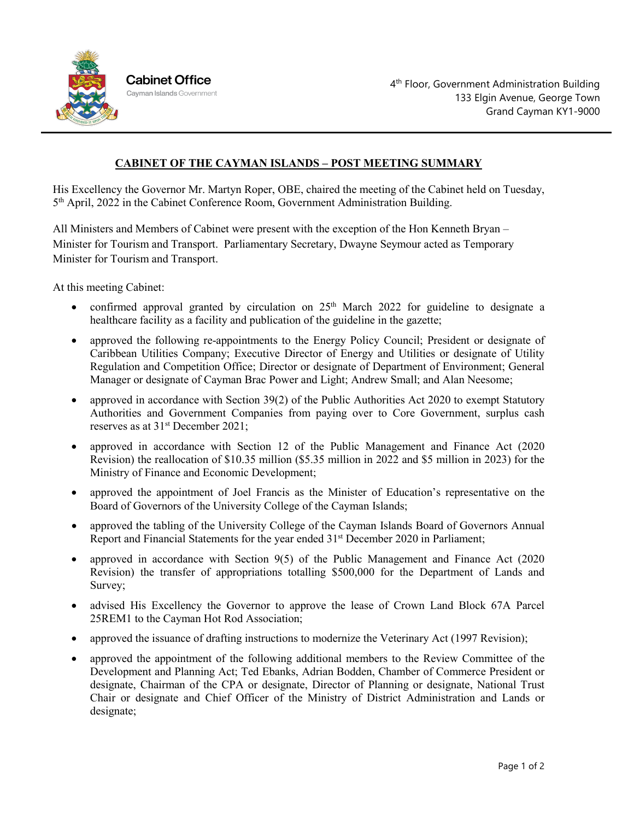

## **CABINET OF THE CAYMAN ISLANDS – POST MEETING SUMMARY**

His Excellency the Governor Mr. Martyn Roper, OBE, chaired the meeting of the Cabinet held on Tuesday, 5th April, 2022 in the Cabinet Conference Room, Government Administration Building.

All Ministers and Members of Cabinet were present with the exception of the Hon Kenneth Bryan – Minister for Tourism and Transport. Parliamentary Secretary, Dwayne Seymour acted as Temporary Minister for Tourism and Transport.

At this meeting Cabinet:

- confirmed approval granted by circulation on  $25<sup>th</sup>$  March 2022 for guideline to designate a healthcare facility as a facility and publication of the guideline in the gazette;
- approved the following re-appointments to the Energy Policy Council; President or designate of Caribbean Utilities Company; Executive Director of Energy and Utilities or designate of Utility Regulation and Competition Office; Director or designate of Department of Environment; General Manager or designate of Cayman Brac Power and Light; Andrew Small; and Alan Neesome;
- approved in accordance with Section 39(2) of the Public Authorities Act 2020 to exempt Statutory Authorities and Government Companies from paying over to Core Government, surplus cash reserves as at  $31<sup>st</sup>$  December 2021;
- approved in accordance with Section 12 of the Public Management and Finance Act (2020 Revision) the reallocation of \$10.35 million (\$5.35 million in 2022 and \$5 million in 2023) for the Ministry of Finance and Economic Development;
- approved the appointment of Joel Francis as the Minister of Education's representative on the Board of Governors of the University College of the Cayman Islands;
- approved the tabling of the University College of the Cayman Islands Board of Governors Annual Report and Financial Statements for the year ended 31st December 2020 in Parliament;
- approved in accordance with Section 9(5) of the Public Management and Finance Act (2020) Revision) the transfer of appropriations totalling \$500,000 for the Department of Lands and Survey;
- advised His Excellency the Governor to approve the lease of Crown Land Block 67A Parcel 25REM1 to the Cayman Hot Rod Association;
- approved the issuance of drafting instructions to modernize the Veterinary Act (1997 Revision);
- approved the appointment of the following additional members to the Review Committee of the Development and Planning Act; Ted Ebanks, Adrian Bodden, Chamber of Commerce President or designate, Chairman of the CPA or designate, Director of Planning or designate, National Trust Chair or designate and Chief Officer of the Ministry of District Administration and Lands or designate;